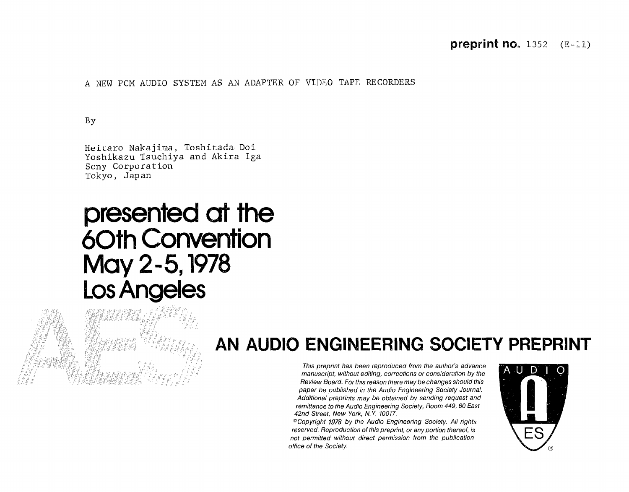### preprint no.  $1352$  (E-11)

A NEW PCM AUDIO SYSTEM AS AN ADAPTER OF VIDEO TAPE RECORDERS

By

Heitaro Nakajima, Toshitada Doi Yoshikazu Tsuchiya and Akira Iga Sony Corporation Tokyo, Japan

# presented at the **6Oth Convention** May 2-5,1978 LosAngeles



## AN AUDIO ENGINEERING SOCIETY PREPRINT

**/**.7 \_ \_ \_' ' **Thispreprint has been reproduced from the author**'**s advance** '\_ ; ? "¢ \_ **manuscript, without editing, corrections or** c**onsideration by the** \_ J;'?,7 '. "**'**?¢'?\_\*' "\_. ','" ' **Review B**o**ard**. **F**o**rthisreason therem**a**y be changes sh**o**uldthis paper be pub/ished in the Audio Engineering S**oc**i**e**ty Journal Additi**o**na/ preprints may be obtained by sending request and remittan**c**e to theAudio Engineering So**c**iety, Room 449**, **60 East 42nd Street**, **New Y**o**rk**, **N**.**Y**. **1001**7.

®**Copyright 1978 by the Audio Engineering So**c**iety**. **A// rights reserved**. **Reprodu**c**tion of thispreprint, or anyportionthere**o**f**, **is not permitted with**o**ut dire**c**t permission fr**o**m the pub/i**c**ation**  $f$  office of the Society.

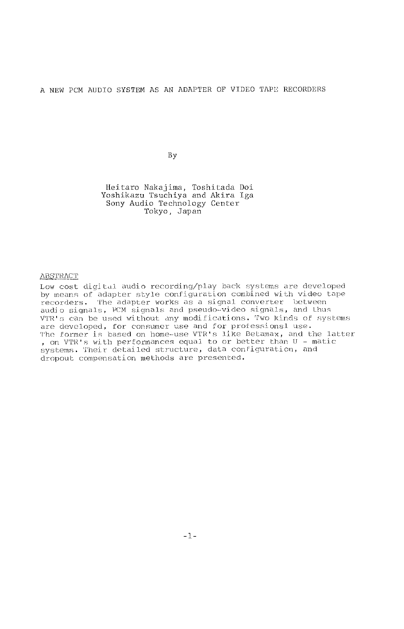#### A NEW PCM AUDIO SYSTEM AS AN ADAPTER OF VIDEO TAPE RECORDERS

By

Heitaro Nakajima, Toshitada Doi Yoshikazu Tsuchiya and Akira Iga Sony Audio Technology Center Tokyo, Japan

#### **ABSTRACT**

Low cost digital audio recording/play back systems are developed by means or adapter style configuration combined with video tape<br>recorders. The adapter works as a signal converter between<br>audio signals, PCM signals and pseudo-video signals, and thus VTR's can be used withou**t** any modifications. Two kinds of systems are developed, for cons**u**mer use and for professionsl use. The former is based on home-use VTR's like Betamax, and the latter , on VTR's with performances equal to or better than U - matic systems. Their detailed struc**t**ure, data configuration, and dropout compensation methods are presen**t**ed.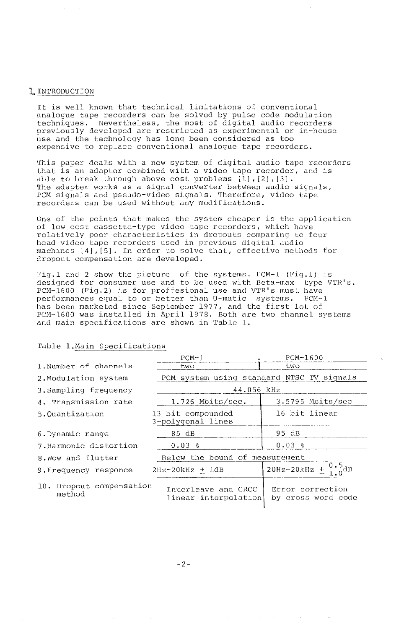#### L INTRODUCTION

It is well known that technical limi**t**ations of conventional analogue t**a**pe recorders can be solved by pulse code modulation techniques. Nevertheless, the most of digital audio recorders previously developed are restricted as experimental or in-house use and the **t**echnology has long been considered as too expensive to replace conventional analogue tape recorders.

This paper deals with a new system of digital audio tape recorders that is an adapter conbined with a video tape recorder, and is able to break through above cost problems  $[1]$ , $[2]$ , $[3]$ . The adapter works as a signal converter between audio signals**,** PCM signals and pseudo-video signals. Therefore, video tape recorders can be used withou**t** any modific**a**tions.

One of the poin**t**s **t**hat makes the system cheaper is the application of low cost casse**t**te-type video tape recorders, which have relatively poor characteristics in dropouts comparing to four head video **t**ape recorders used in previous digital audio machines  $[4]$ ,  $[5]$ . In order to solve that, effective methods for dropout compensation are developed.

Fig.1 and 2 show the picture of **t**he systems. PCM-1 (Fig.l) is designed for consumer use and to be used with Beta-max type VTR's. PCM-1600 (Fig.2) is for proffesional use and VTR's must have performances equal ho or better than U-matio systems**.** PCM-1 has been marketed since September 1977, and **t**he first lot of PCM-1600 was installed in April 19**7**8. Both are two channel systems and main specifica**t**ions are shown in Table 1.

#### Table 1.Main Specifications

|                                    | $PCM-1$                                     | PCM-1600                               |
|------------------------------------|---------------------------------------------|----------------------------------------|
| 1. Number of channels              | two                                         | two                                    |
| 2. Modulation system               | PCM system using standard NTSC TV signals   |                                        |
| 3. Sampling frequency              | 44.056 kHz                                  |                                        |
| 4. Transmission rate               | 1.726 Mbits/sec.                            | 3.5795 Mbits/sec                       |
| 5.Quantization                     | 13 bit compounded<br>3-polyqonal lines      | 16 bit linear                          |
| 6. Dynamic range                   | 85 dB                                       | 95 dB                                  |
| 7. Harmonic distortion             | $0.03$ %                                    | $0.03$ %                               |
| 8. Wow and flutter                 | Below the bound of measurement              |                                        |
| 9. Frequency responce              | $2Hz-20kHz + ldB$                           | 20Hz-20kHz $\pm 0.5$ dB                |
| 10. Dropout compensation<br>method | Interleave and CRCC<br>linear interpolation | Error correction<br>by cross word code |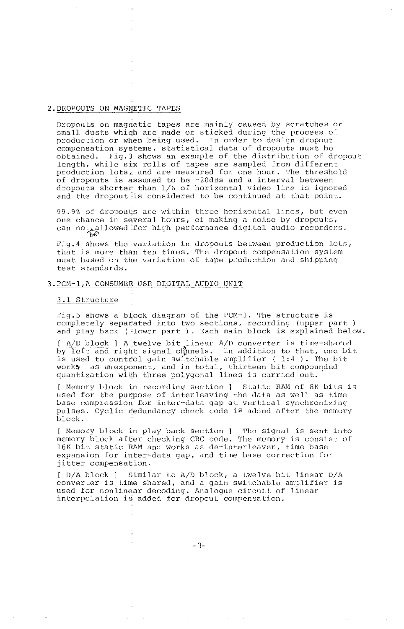#### 2.DROPOUTS ON MAGNETIC TAPES

Dropouts on magnetic tapes are mainly caused by scratches or small dusts which are made or sticked during the process of production or when being used. In order to design dropout compensation systems, statistical data of dropou**t**s must be obtained. Fig.3 shows an example of the distribu**t**ion of dropout length**,** while si**:**x rolls of tapes are sampled from different production lots, and are measured for one hour. The threshold of dropouts is assumed to be -20dBs and a interval be**t**ween dropouts shorter than 1**/**6 of horizontal video line is ignored and the dropout is considered to be continued at that point.

99.9% of dropouts are within three horizontal lines, but even<br>one chance in several hours, of making a noise by dropouts, one chance in s\_vera] hours**,** of making **a** noise by dropouts, can note for high performance digital and  $\eta$  high performance digital and  $\eta$  recorders. The corder section recorders of  $\eta$  and  $\eta$  and  $\eta$  and  $\eta$  are corders. The corder of  $\eta$  and  $\eta$  and  $\eta$  and  $\eta$  and  $\eta$ 

Fig.4 shows the variation in dropouts between production lots, that is more than ten times. The dropout compensation system must based on the variation of tape production and shipping test standards.

#### 3.PCM-1,A CONSUMER USE DIGITAL AUDIO UNiT

#### 3.1 Structure

rig.5 shows a biock diagram of the PCM-1. The structure is<br>completely separated into two sections, recording (upper part ) and play back ( **:**lower part ). Each main b]ock is explained below.

[ A**/**D block ] A itwelve bit linear A**/**D conver**t**er is time-shared by lef**t** and right signal cl\_nels, in addi**t**ion to that, one bit is used to control gain switchable amplifier ( 1:4 ). The bit<br>work5 as anexponent, and in total, thirteen bit compounded as ah exponent, and in total, thirteen bit compounded quantization with three polygonal lines is carried out.

[ Memory block \_n recording section ] S**t**atic RAM of 8K bi**t**s is used for the purpose of interleaving the data as we]] as time base compression for inter-dat**a** gap at vertical synchronizing pulses. Cyclic redundancy check code is added after the memory block.

[ Memory block in play back section ] The signal is sent into memory block after checking CRC code. The memory is consist of 16K bit static RAM and works as de-interleaver, time base expansion for inter-data gap, and time base correction for jitter compensation.

[ D**/**A block ] Similar to A**/**D block, a twelve bit linear D**/**A converter is time shared, and a gain switchable amplifier is used for nonlingar decoding. Analogue circuit of linear interpolation is added for dropout compensation.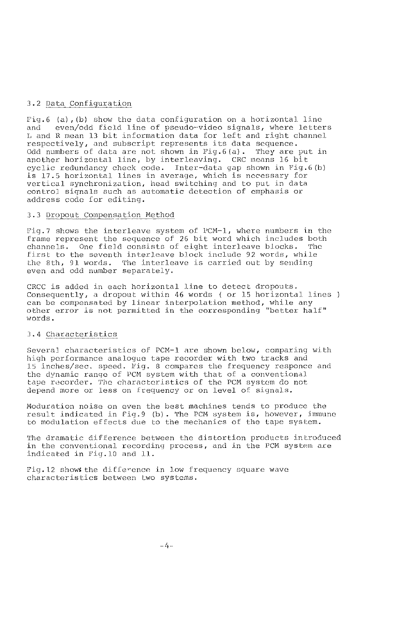#### 3**.**2 Data Configuration

Fig.6 (a), (b) show the data configuration on a horizontal line<br>and even/odd field line of pseudo-video signals, where lette even/odd field line of pseudo-video signals, where letters L and R mean 13 bit informa**t**ion data for left and right channel respectively, and subscript represents its da**t**a sequence. Odd numbers of data are not shown in Fig.6 (a). They are put in another horizonta] line, by interleaving. CRC means 16 bit cyclic redundancy chock code. Inter-data gap shown in Fig.6 (b) is 17.5 horizontal lines in average, which is necessary for vertical synchronization, head switching and to put in data control signals such as automatic detection of emphasis or address code for editing.

#### 3**.**3 Dr\_out Compensation Method

Fig.7 shows the interleave system of PCM-i, where numbers in the frame represent the sequence of 26 bit word which includes both channels. One field consists of eight interleave bJocks. Thc first to the seventh interleave block include 92 words, while the 8th**,** 91 words. The interleave is carried out by sending even and odd n**u**mber separately.

CRCC is added in each horizontal line to detec**t** dropouts**.** Consequently, a dropout within 46 words ( or 15 horizontal lines ) can be compensated by linear interpolation method, while any o**t**her error is not permitted in the corresponding "better half" words.

#### 3.4 Characteristics

Several characteristics of PCM-1 are shown below, comparing with high performance analogue tape recorder with two tracks and ]5 inches**/**sec, speed. Fig. 8 compares the frequency responce and the dynamic range of PCM system with that of a conventional tape recorder. The characteristics of the PCM system do not depend more or [tess on frequency or on level of signals.

Moduration noise on even the best machines tends to produce tho result indica**t**ed in Fig.9 (b). The PCM sys**t**em is, however**,** Jlmnune to modulation effects due to the mechanics of the tape system.

The dramatic difference between the d**.**istortion products in**t**roduced in the conventional recording process, and in the PCM system are indicated in Fig.10 and 11.

Fig. 12 shows the difference in low frequency square wave characteristics between two systems.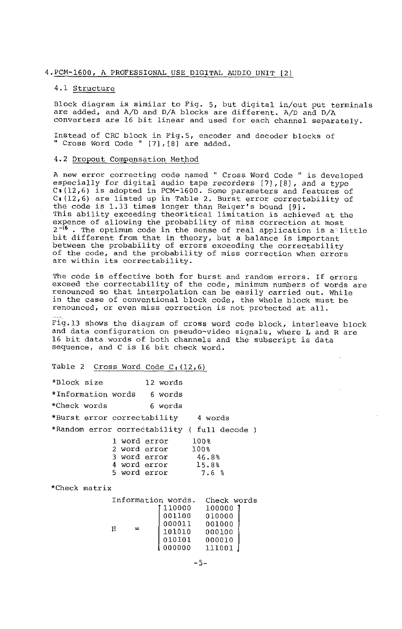#### 4.PCM-1600, A PROFESSIONAL USE DIGITAL AUDIO UNIT [2]

#### 4.1 Structure

Block diagram is similar to Fig. 5, but digital in**/**out put terminals are added, and A**/**D and D**/**A blocks are different. A**/**D and D**/**A converters are 16 bit linear and used for each channel separately.

Instead of CRC block in Fig.5, encoder and decoder blocks of "Cross Word Code" [7],[8] are added.

#### 4.2 Dropout Compensation Method

A new error correcting code named " Cross word Code " is develope especially for digital audio tape recorders  $[7]$ ,  $[8]$ , and a type Ct(12,6) is adopted in PCM-1600. Some parameters and features of Ca (12,6) are listed up in Table 2. Burst error correctability of the code is 1.33 times longer than Reiger's bound [9].<br>This ability exceeding theoritical limitation is achieved at the<br>expence of allowing the probability of miss correction at most<br>2<sup>-16</sup>. The optimum code in the sense o bit different from that in theory, but a balance is important between the probability of errors exceeding the correctability of the code, and the probability of miss correction when errors are within its correctability.

The code is effective both for burst and random errors. If errors exceed the correctability of the code, minimum numbers of words are renounced so that interpolation can be easily carried out. While in the case of conventional block code, the whole block must be renounced, or even miss correction is not protected at all.

Fig.13 shows the diagram of cross word code block, interleave block and data configuration on pseudo-video signals, where L and R are 16 bit data words of both channels and the subscript is data sequence, and C is 16 bit check word.

| Table 2 | Cross Word Code $C_1(12,6)$ |  |  |  |
|---------|-----------------------------|--|--|--|
|         |                             |  |  |  |

| *Block size                                  |                                                                                                          | 12 words                                                                          |                                |
|----------------------------------------------|----------------------------------------------------------------------------------------------------------|-----------------------------------------------------------------------------------|--------------------------------|
| *Information words 6 words                   |                                                                                                          |                                                                                   |                                |
| *Check words                                 | 6 words                                                                                                  |                                                                                   |                                |
| *Burst error correctability 4 words          |                                                                                                          |                                                                                   |                                |
| *Random error correctability ( full decode ) |                                                                                                          |                                                                                   |                                |
| *Check matrix                                | l word error 100%<br>2 word error 100%<br>3 word error 46.8%<br>4 word error 15.8%<br>5 word error 7.6 % |                                                                                   |                                |
|                                              |                                                                                                          |                                                                                   |                                |
|                                              | Н                                                                                                        | 110000 100000<br>001100 010000<br>000011 001000<br>101010 000100<br>010101 000010 | Information words. Check words |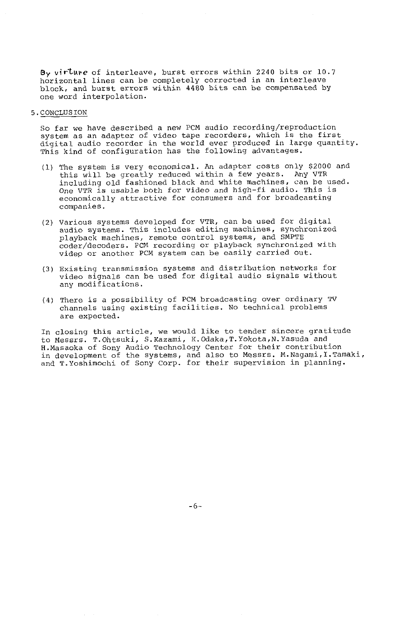By vir<sup>ture</sup> of interleave, burst errors within 2240 bits or 10.7 horizontal lines can be completely corrected in an interleave block, and burst errors within 4480 bits can be compensated by one word interpolation.

5.CONCLUSION

So far we have described a new PCM audio recording**/**reproduction system as an adapter of video tape recorders, which is the first digital audio recorder in the world ever produced in large quantity. This kind of configuration has the following advantages.

- (1) The system is very economical. An adapter costs only \$2000 and this will be **g**reatly reduced within a few years. Any VTR including old fashioned black and white machines, can be used. One VTR is usable both for video and high-fi a**u**dio. This is economically attractive for consumers and for broadcasting companies.
- (2) Various systems developed for VTR, can be used for digital audio systems. This includes editing machines, synchronized playback machines**,** remote control systems**,** and SMPTE coder**/**decoders. PCM recording or playback synchronized with videp or another PCM system can be easily carried out.
- (3) Existing transmission systems and distribution networks for video signals can be used for digital audio signals without any modifications.
- (4) There is a possibility of PCM broadcasting over ordinary TV channels using existing facilities. No technical problems are expected.

In closing this article, we would like to tender sincere gratitude to Messrs. T.Ohtsuki**,** S.Kazami**,** K.Odaka**,**T.Y**o**k**o**ta,N.Yasuda and H.Masaoka of Sony Audio Technology Center for their contributi in development of the systems, and also to Messrs. M.Nagami,I.Tamaki, and T.Yoshimochi of Sony Corp. for their supervision in planning.

-6-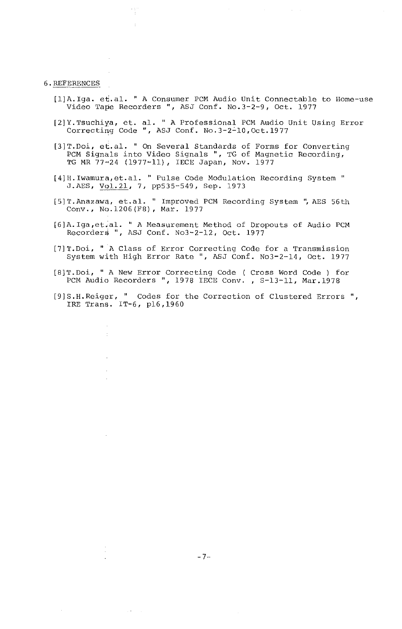#### 6.REFERENCES

ł.

- [1]A. Iga. et.al. "A Consumer PCM Audio Unit Connectable to Home-use Video Tape Recorders ", ASJ Conf. No.3-2-9, Oct. 1977
- [2]Y.Tsuchiya, et. al. "A Professional PCM Audio Unit Using Error Correcting Code ", ASJ Conf. No.3-2L10,Oct.1977
- [3]T.Doi, et.al. " On Several Standards of Forms for Converting PCM Signals into Video Signals ", TG of Magnetic Recording, TG MR 77-24 (1977-11), IECE Japan, Nov. 1977
- [4]H.Iwamura,et.al. "Pulse Code Modulation Recording System" J.AES, Vol.21, 7, pp535-549, Sep. 1973
- [5]T.Anazawa, et.al. " Improved PCM Recording System ",AES 56th Conv., No.1206(FS), Mar. 1977
- [6]A. Iga,et+al. "A Measurement Method of Dropouts of Audio PCM Recorders ", ASJ Conf. No3-2-12, Oct. 1977
- [7]T.Doi, "A Class of Error Correcting Code for a Transmission System with High Error Rate ", ASJ Conf. No3-2-14, Oct. 1977
- [8]T.Doi**,** "A New Error Correcting Code ( Cross Word Code ) for PCM Audio Recorders ", 1978 IECE Conv., S-13-11, Mar.1978
- [9]S.H.Reiger, " Codes for the Correction of Clustered Errors "**,** IRE Trans. IT-6, p16,1960

 $\mathcal{A} \subset \mathcal{A}$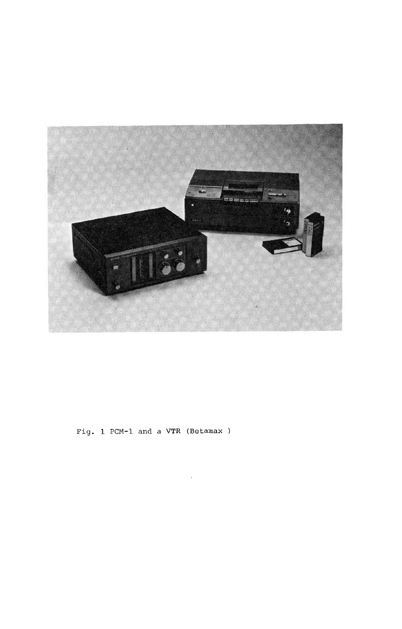

Fig. 1 PCM-1 and a VTR (Betamax)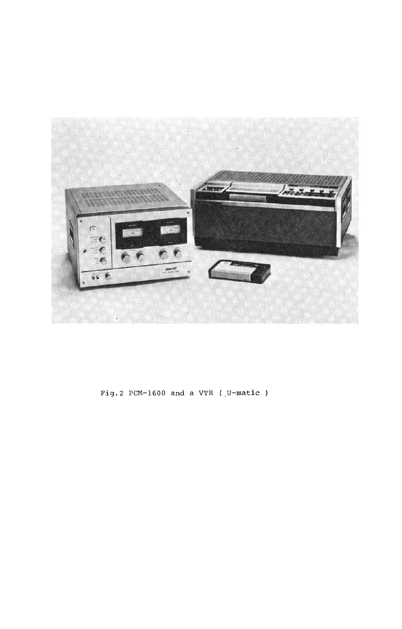

Fig. 2 PCM-1600 and a VTR ( $U$ -matic)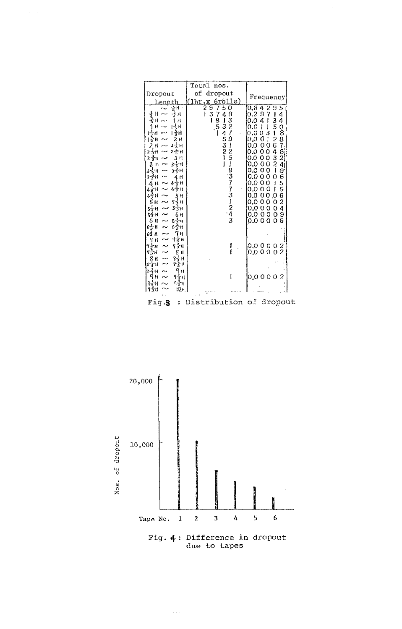|                                | Total nos.                                          |                                       |  |
|--------------------------------|-----------------------------------------------------|---------------------------------------|--|
| Dropout                        | of<br>dropout                                       |                                       |  |
| Length                         | 6r <sub>0</sub> 11s<br>(1hr.x                       | Frequency                             |  |
| Η.<br>ż                        | T<br>2<br>5<br>Ō                                    | 9<br>5<br>0.6<br>4                    |  |
| н<br>н                         | 3<br>ł<br>7                                         | 0.2<br>4<br>ı<br>9<br>7               |  |
| н<br>н                         | ı                                                   | 4<br>ţ<br>0.0                         |  |
|                                |                                                     | ı<br>0.0<br>ı                         |  |
|                                | 93279<br>$\begin{array}{c} 9 \\ 5 \\ 1 \end{array}$ | 03<br>.0<br>O                         |  |
| 2 H                            |                                                     | 0<br>I<br>0.0                         |  |
| スマー<br>н                       |                                                     | 0<br>0<br>0.0                         |  |
| 2금<br>2 술H                     |                                                     | O<br>$\mathbf 0$<br>0.0               |  |
| 3<br>н<br>2 <sub>3</sub><br>Ή  | 4-345321-1                                          | 35126432<br>0<br>$\mathbf 0$<br>0.0   |  |
| 3<br>$3 - 1$<br>ન્મ<br>۲       | 1251937731243                                       | 40887824965562<br>$\circ$<br>0<br>0.0 |  |
| 긓<br>ą.<br>35                  |                                                     | o<br>J<br>0.0<br>0                    |  |
| 35<br>н                        |                                                     | 0.0<br>0<br>0<br>0                    |  |
| 4 ÷ H                          |                                                     | 0<br>ł<br>o.o<br>Ω                    |  |
| 술<br>н                         |                                                     | ľ<br>Ō<br>О<br>Ω<br>$\Omega$          |  |
| 5н<br>45<br>н                  |                                                     | 0<br>.0<br>Ω<br>0<br>ი                |  |
| ちざけ<br>н                       |                                                     | o<br>Ω<br>0<br>Ω<br>.0                |  |
| 5 ና ዘ<br>5                     |                                                     | 4<br>$\circ$<br>0<br>0.0<br>0         |  |
| 6н<br>55 H                     |                                                     | 9<br>00<br>0.0<br>$^{\Omega}$         |  |
| $6\frac{1}{5}$<br>Б<br>н<br>۰H |                                                     | 6<br>0.0<br>$^{\circ}$<br>Ω           |  |
| 6言<br>6雪片<br>н                 |                                                     |                                       |  |
| 63<br>Ή<br>н                   |                                                     |                                       |  |
| 7 з<br>7 н                     |                                                     |                                       |  |
| าร์<br>ፕ⊰⊱ዘ<br>н               |                                                     | 0.0000<br>2                           |  |
| 香片<br>8<br>н                   |                                                     | $\overline{c}$<br>0.0000              |  |
| g÷<br>Χ<br>н<br>н              |                                                     |                                       |  |
| 8-5<br>Η                       |                                                     |                                       |  |
| н<br>ς.<br>٠н                  |                                                     |                                       |  |
| የቴዘ                            |                                                     | 0.00002                               |  |
| 平和<br>10 н                     |                                                     |                                       |  |
|                                |                                                     |                                       |  |
|                                |                                                     | n                                     |  |

Fig.3 : Distribution of dropout

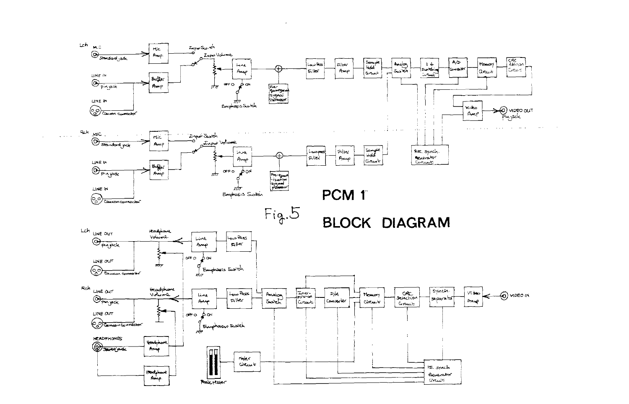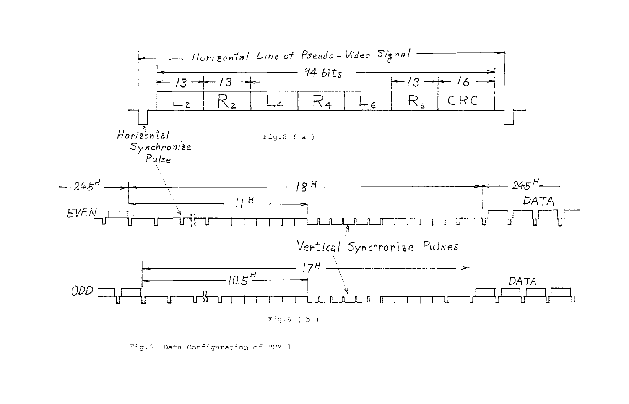

Fig.6 Data Configuration of PCM-1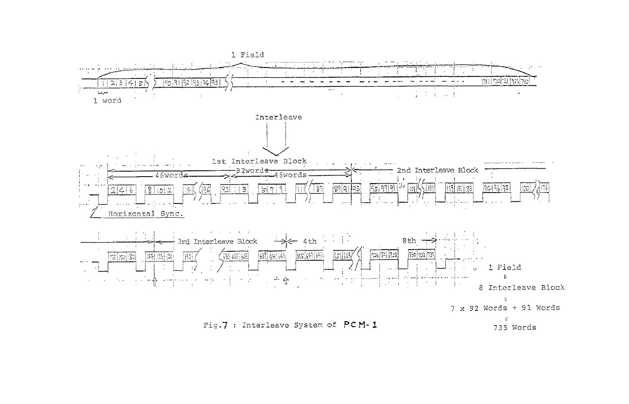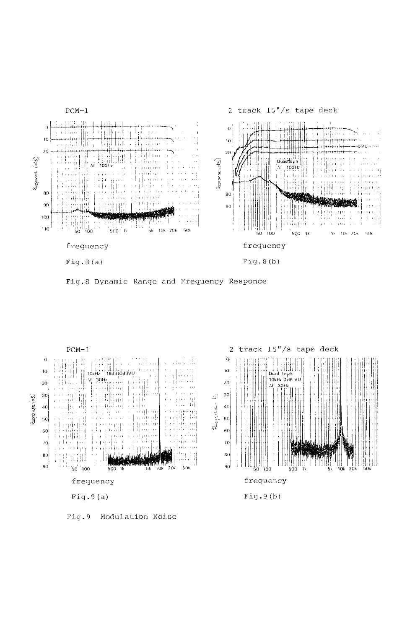

Fig.8 Dynamic Range and Frequency Responce



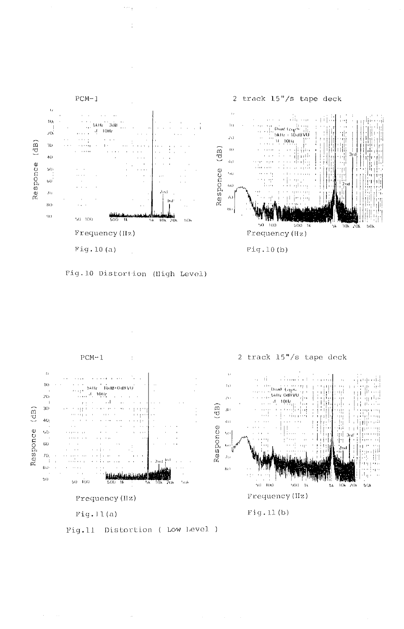





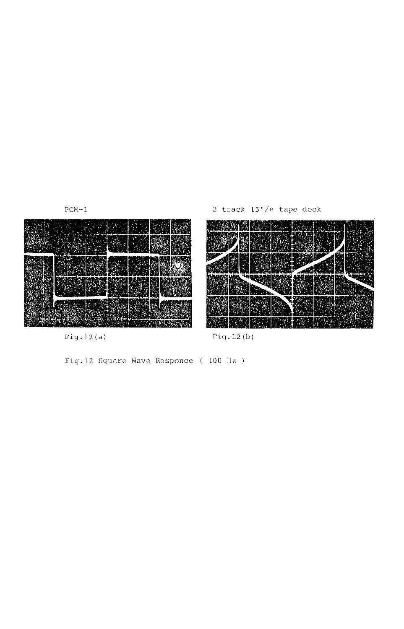



Pig.12(a) Pig.12(b)

Fig**.** 12 Square Wave Responce ( 100 Hz )